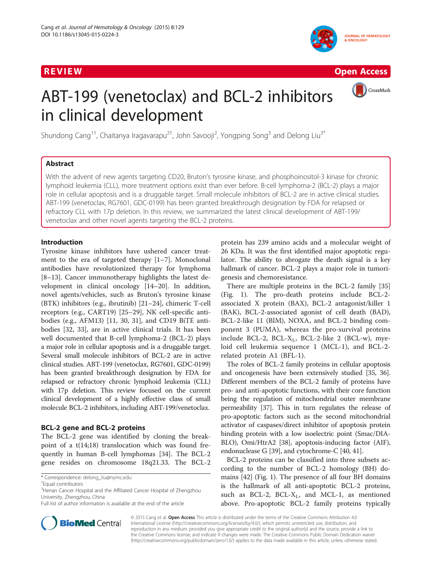

R EVI EW Open Access of the United States of the United States of the United States of the United States of th

CrossMark

# ABT-199 (venetoclax) and BCL-2 inhibitors in clinical development

Shundong Cang $^{1\dagger}$ , Chaitanya Iragavarapu $^{2\dagger}$ , John Savooji $^2$ , Yongping Song $^3$  and Delong Liu $^{3^\ast}$ 

# Abstract

With the advent of new agents targeting CD20, Bruton's tyrosine kinase, and phosphoinositol-3 kinase for chronic lymphoid leukemia (CLL), more treatment options exist than ever before. B-cell lymphoma-2 (BCL-2) plays a major role in cellular apoptosis and is a druggable target. Small molecule inhibitors of BCL-2 are in active clinical studies. ABT-199 (venetoclax, RG7601, GDC-0199) has been granted breakthrough designation by FDA for relapsed or refractory CLL with 17p deletion. In this review, we summarized the latest clinical development of ABT-199/ venetoclax and other novel agents targeting the BCL-2 proteins.

# Introduction

Tyrosine kinase inhibitors have ushered cancer treatment to the era of targeted therapy [\[1](#page-5-0)–[7\]](#page-5-0). Monoclonal antibodies have revolutionized therapy for lymphoma [[8](#page-5-0)–[13\]](#page-5-0). Cancer immunotherapy highlights the latest development in clinical oncology [\[14](#page-5-0)–[20\]](#page-5-0). In addition, novel agents/vehicles, such as Bruton's tyrosine kinase (BTK) inhibitors (e.g., ibrutinib) [[21](#page-5-0)–[24](#page-5-0)], chimeric T-cell receptors (e.g., CART19) [\[25](#page-5-0)–[29\]](#page-5-0), NK cell-specific antibodies (e.g., AFM13) [\[11](#page-5-0), [30, 31\]](#page-5-0), and CD19 BiTE antibodies [\[32](#page-5-0), [33](#page-6-0)], are in active clinical trials. It has been well documented that B-cell lymphoma-2 (BCL-2) plays a major role in cellular apoptosis and is a druggable target. Several small molecule inhibitors of BCL-2 are in active clinical studies. ABT-199 (venetoclax, RG7601, GDC-0199) has been granted breakthrough designation by FDA for relapsed or refractory chronic lymphoid leukemia (CLL) with 17p deletion. This review focused on the current clinical development of a highly effective class of small molecule BCL-2 inhibitors, including ABT-199/venetoclax.

# BCL-2 gene and BCL-2 proteins

The BCL-2 gene was identified by cloning the breakpoint of a t(14;18) translocation which was found frequently in human B-cell lymphomas [[34](#page-6-0)]. The BCL-2 gene resides on chromosome 18q21.33. The BCL-2



There are multiple proteins in the BCL-2 family [[35](#page-6-0)] (Fig. [1\)](#page-1-0). The pro-death proteins include BCL-2 associated X protein (BAX), BCL-2 antagonist/killer 1 (BAK), BCL-2-associated agonist of cell death (BAD), BCL-2-like 11 (BIM), NOXA, and BCL-2 binding component 3 (PUMA), whereas the pro-survival proteins include BCL-2, BCL- $X_L$ , BCL-2-like 2 (BCL-w), myeloid cell leukemia sequence 1 (MCL-1), and BCL-2 related protein A1 (BFL-1).

The roles of BCL-2 family proteins in cellular apoptosis and oncogenesis have been extensively studied [\[35](#page-6-0), [36](#page-6-0)]. Different members of the BCL-2 family of proteins have pro- and anti-apoptotic functions, with their core function being the regulation of mitochondrial outer membrane permeability [\[37](#page-6-0)]. This in turn regulates the release of pro-apoptotic factors such as the second mitochondrial activator of caspases/direct inhibitor of apoptosis protein binding protein with a low isoelectric point (Smac/DIA-BLO), Omi/HtrA2 [\[38\]](#page-6-0), apoptosis-inducing factor (AIF), endonuclease G [\[39\]](#page-6-0), and cytochrome-C [\[40, 41\]](#page-6-0).

BCL-2 proteins can be classified into three subsets according to the number of BCL-2 homology (BH) domains [\[42](#page-6-0)] (Fig. [1](#page-1-0)). The presence of all four BH domains is the hallmark of all anti-apoptotic BCL-2 proteins, such as BCL-2, BCL- $X_L$ , and MCL-1, as mentioned above. Pro-apoptotic BCL-2 family proteins typically



© 2015 Cang et al. Open Access This article is distributed under the terms of the Creative Commons Attribution 4.0 International License [\(http://creativecommons.org/licenses/by/4.0/](http://creativecommons.org/licenses/by/4.0/)), which permits unrestricted use, distribution, and reproduction in any medium, provided you give appropriate credit to the original author(s) and the source, provide a link to the Creative Commons license, and indicate if changes were made. The Creative Commons Public Domain Dedication waiver [\(http://creativecommons.org/publicdomain/zero/1.0/](http://creativecommons.org/publicdomain/zero/1.0/)) applies to the data made available in this article, unless otherwise stated.

<sup>\*</sup> Correspondence: [delong\\_liu@nymc.edu](mailto:delong_liu@nymc.edu) †

Equal contributors

<sup>&</sup>lt;sup>3</sup> Henan Cancer Hospital and the Affiliated Cancer Hospital of Zhengzhou University, Zhengzhou, China

Full list of author information is available at the end of the article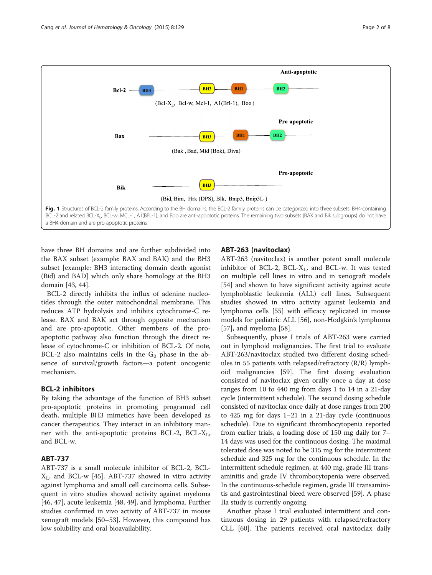<span id="page-1-0"></span>

have three BH domains and are further subdivided into the BAX subset (example: BAX and BAK) and the BH3 subset [example: BH3 interacting domain death agonist (Bid) and BAD] which only share homology at the BH3 domain [[43, 44](#page-6-0)].

BCL-2 directly inhibits the influx of adenine nucleotides through the outer mitochondrial membrane. This reduces ATP hydrolysis and inhibits cytochrome-C release. BAX and BAK act through opposite mechanism and are pro-apoptotic. Other members of the proapoptotic pathway also function through the direct release of cytochrome-C or inhibition of BCL-2. Of note, BCL-2 also maintains cells in the  $G_0$  phase in the absence of survival/growth factors—a potent oncogenic mechanism.

## BCL-2 inhibitors

By taking the advantage of the function of BH3 subset pro-apoptotic proteins in promoting programed cell death, multiple BH3 mimetics have been developed as cancer therapeutics. They interact in an inhibitory manner with the anti-apoptotic proteins BCL-2, BCL- $X_L$ , and BCL-w.

# ABT-737

ABT-737 is a small molecule inhibitor of BCL-2, BCL- $X_L$ , and BCL-w [[45\]](#page-6-0). ABT-737 showed in vitro activity against lymphoma and small cell carcinoma cells. Subsequent in vitro studies showed activity against myeloma [[46, 47\]](#page-6-0), acute leukemia [\[48](#page-6-0), [49](#page-6-0)], and lymphoma. Further studies confirmed in vivo activity of ABT-737 in mouse xenograft models [[50](#page-6-0)–[53](#page-6-0)]. However, this compound has low solubility and oral bioavailability.

#### ABT-263 (navitoclax)

ABT-263 (navitoclax) is another potent small molecule inhibitor of BCL-2, BCL- $X_L$ , and BCL-w. It was tested on multiple cell lines in vitro and in xenograft models [[54\]](#page-6-0) and shown to have significant activity against acute lymphoblastic leukemia (ALL) cell lines. Subsequent studies showed in vitro activity against leukemia and lymphoma cells [[55](#page-6-0)] with efficacy replicated in mouse models for pediatric ALL [\[56\]](#page-6-0), non-Hodgkin's lymphoma [[57\]](#page-6-0), and myeloma [\[58](#page-6-0)].

Subsequently, phase I trials of ABT-263 were carried out in lymphoid malignancies. The first trial to evaluate ABT-263/navitoclax studied two different dosing schedules in 55 patients with relapsed/refractory (R/R) lymphoid malignancies [[59\]](#page-6-0). The first dosing evaluation consisted of navitoclax given orally once a day at dose ranges from 10 to 440 mg from days 1 to 14 in a 21-day cycle (intermittent schedule). The second dosing schedule consisted of navitoclax once daily at dose ranges from 200 to 425 mg for days 1–21 in a 21-day cycle (continuous schedule). Due to significant thrombocytopenia reported from earlier trials, a loading dose of 150 mg daily for 7– 14 days was used for the continuous dosing. The maximal tolerated dose was noted to be 315 mg for the intermittent schedule and 325 mg for the continuous schedule. In the intermittent schedule regimen, at 440 mg, grade III transaminitis and grade IV thrombocytopenia were observed. In the continuous-schedule regimen, grade III transaminitis and gastrointestinal bleed were observed [[59](#page-6-0)]. A phase IIa study is currently ongoing.

Another phase I trial evaluated intermittent and continuous dosing in 29 patients with relapsed/refractory CLL [\[60](#page-6-0)]. The patients received oral navitoclax daily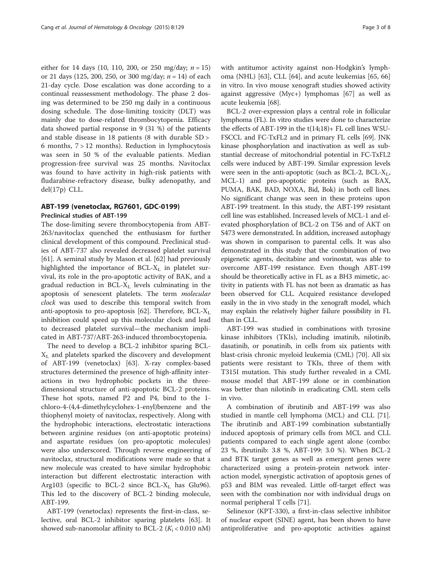either for 14 days (10, 110, 200, or 250 mg/day;  $n = 15$ ) or 21 days (125, 200, 250, or 300 mg/day;  $n = 14$ ) of each 21-day cycle. Dose escalation was done according to a continual reassessment methodology. The phase 2 dosing was determined to be 250 mg daily in a continuous dosing schedule. The dose-limiting toxicity (DLT) was mainly due to dose-related thrombocytopenia. Efficacy data showed partial response in 9 (31 %) of the patients and stable disease in 18 patients (8 with durable SD > 6 months, 7 > 12 months). Reduction in lymphocytosis was seen in 50 % of the evaluable patients. Median progression-free survival was 25 months. Navitoclax was found to have activity in high-risk patients with fludarabine-refractory disease, bulky adenopathy, and del(17p) CLL.

## ABT-199 (venetoclax, RG7601, GDC-0199) Preclinical studies of ABT-199

The dose-limiting severe thrombocytopenia from ABT-263/navitoclax quenched the enthusiasm for further clinical development of this compound. Preclinical studies of ABT-737 also revealed decreased platelet survival [[61\]](#page-6-0). A seminal study by Mason et al. [\[62](#page-6-0)] had previously highlighted the importance of  $BCL-X_L$  in platelet survival, its role in the pro-apoptotic activity of BAK, and a gradual reduction in  $BCL-X_L$  levels culminating in the apoptosis of senescent platelets. The term molecular clock was used to describe this temporal switch from anti-apoptosis to pro-apoptosis [\[62\]](#page-6-0). Therefore,  $BCL-X<sub>L</sub>$ inhibition could speed up this molecular clock and lead to decreased platelet survival—the mechanism implicated in ABT-737/ABT-263-induced thrombocytopenia.

The need to develop a BCL-2 inhibitor sparing BCL- $X_L$  and platelets sparked the discovery and development of ABT-199 (venetoclax) [[63\]](#page-6-0). X-ray complex-based structures determined the presence of high-affinity interactions in two hydrophobic pockets in the threedimensional structure of anti-apoptotic BCL-2 proteins. These hot spots, named P2 and P4, bind to the 1 chloro-4-(4,4-dimethylcyclohex-1-enyl)benzene and the thiophenyl moiety of navitoclax, respectively. Along with the hydrophobic interactions, electrostatic interactions between arginine residues (on anti-apoptotic proteins) and aspartate residues (on pro-apoptotic molecules) were also underscored. Through reverse engineering of navitoclax, structural modifications were made so that a new molecule was created to have similar hydrophobic interaction but different electrostatic interaction with Arg103 (specific to BCL-2 since BCL- $X_L$  has Glu96). This led to the discovery of BCL-2 binding molecule, ABT-199.

ABT-199 (venetoclax) represents the first-in-class, selective, oral BCL-2 inhibitor sparing platelets [\[63](#page-6-0)]. It showed sub-nanomolar affinity to BCL-2 ( $K_i$  < 0.010 nM)

with antitumor activity against non-Hodgkin's lymphoma (NHL) [\[63\]](#page-6-0), CLL [[64](#page-6-0)], and acute leukemias [\[65](#page-6-0), [66](#page-6-0)] in vitro. In vivo mouse xenograft studies showed activity against aggressive (Myc+) lymphomas [\[67](#page-6-0)] as well as acute leukemia [\[68\]](#page-6-0).

BCL-2 over-expression plays a central role in follicular lymphoma (FL). In vitro studies were done to characterize the effects of ABT-199 in the t(14;18)+ FL cell lines WSU-FSCCL and FC-TxFL2 and in primary FL cells [\[69\]](#page-6-0). JNK kinase phosphorylation and inactivation as well as substantial decrease of mitochondrial potential in FC-TxFL2 cells were induced by ABT-199. Similar expression levels were seen in the anti-apoptotic (such as BCL-2, BCL- $X_L$ , MCL-1) and pro-apoptotic proteins (such as BAX, PUMA, BAK, BAD, NOXA, Bid, Bok) in both cell lines. No significant change was seen in these proteins upon ABT-199 treatment. In this study, the ABT-199 resistant cell line was established. Increased levels of MCL-1 and elevated phosphorylation of BCL-2 on T56 and of AKT on S473 were demonstrated. In addition, increased autophagy was shown in comparison to parental cells. It was also demonstrated in this study that the combination of two epigenetic agents, decitabine and vorinostat, was able to overcome ABT-199 resistance. Even though ABT-199 should be theoretically active in FL as a BH3 mimetic, activity in patients with FL has not been as dramatic as has been observed for CLL. Acquired resistance developed easily in the in vivo study in the xenograft model, which may explain the relatively higher failure possibility in FL than in CLL.

ABT-199 was studied in combinations with tyrosine kinase inhibitors (TKIs), including imatinib, nilotinib, dasatinib, or ponatinib, in cells from six patients with blast-crisis chronic myeloid leukemia (CML) [\[70\]](#page-6-0). All six patients were resistant to TKIs, three of them with T315I mutation. This study further revealed in a CML mouse model that ABT-199 alone or in combination was better than nilotinib in eradicating CML stem cells in vivo.

A combination of ibrutinib and ABT-199 was also studied in mantle cell lymphoma (MCL) and CLL [\[71](#page-6-0)]. The ibrutinib and ABT-199 combination substantially induced apoptosis of primary cells from MCL and CLL patients compared to each single agent alone (combo: 23 %, ibrutinib: 3.8 %, ABT-199: 3.0 %). When BCL-2 and BTK target genes as well as emergent genes were characterized using a protein-protein network interaction model, synergistic activation of apoptosis genes of p53 and BIM was revealed. Little off-target effect was seen with the combination nor with individual drugs on normal peripheral T cells [[71\]](#page-6-0).

Selinexor (KPT-330), a first-in-class selective inhibitor of nuclear export (SINE) agent, has been shown to have antiproliferative and pro-apoptotic activities against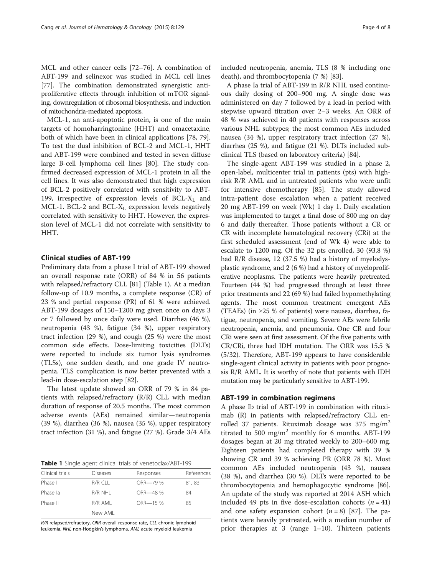MCL and other cancer cells [[72](#page-6-0)–[76](#page-6-0)]. A combination of ABT-199 and selinexor was studied in MCL cell lines [[77\]](#page-6-0). The combination demonstrated synergistic antiproliferative effects through inhibition of mTOR signaling, downregulation of ribosomal biosynthesis, and induction of mitochondria-mediated apoptosis.

MCL-1, an anti-apoptotic protein, is one of the main targets of homoharringtonine (HHT) and omacetaxine, both of which have been in clinical applications [\[78](#page-7-0), [79](#page-7-0)]. To test the dual inhibition of BCL-2 and MCL-1, HHT and ABT-199 were combined and tested in seven diffuse large B-cell lymphoma cell lines [[80\]](#page-7-0). The study confirmed decreased expression of MCL-1 protein in all the cell lines. It was also demonstrated that high expression of BCL-2 positively correlated with sensitivity to ABT-199, irrespective of expression levels of  $BCL-X_L$  and MCL-1. BCL-2 and BCL- $X_L$  expression levels negatively correlated with sensitivity to HHT. However, the expression level of MCL-1 did not correlate with sensitivity to HHT.

#### Clinical studies of ABT-199

Preliminary data from a phase I trial of ABT-199 showed an overall response rate (ORR) of 84 % in 56 patients with relapsed/refractory CLL [[81\]](#page-7-0) (Table 1). At a median follow-up of 10.9 months, a complete response (CR) of 23 % and partial response (PR) of 61 % were achieved. ABT-199 dosages of 150–1200 mg given once on days 3 or 7 followed by once daily were used. Diarrhea (46 %), neutropenia (43 %), fatigue (34 %), upper respiratory tract infection (29 %), and cough (25 %) were the most common side effects. Dose-limiting toxicities (DLTs) were reported to include six tumor lysis syndromes (TLSs), one sudden death, and one grade IV neutropenia. TLS complication is now better prevented with a lead-in dose-escalation step [[82](#page-7-0)].

The latest update showed an ORR of 79 % in 84 patients with relapsed/refractory (R/R) CLL with median duration of response of 20.5 months. The most common adverse events (AEs) remained similar—neutropenia (39 %), diarrhea (36 %), nausea (35 %), upper respiratory tract infection (31 %), and fatigue (27 %). Grade 3/4 AEs

Table 1 Single agent clinical trials of venetoclax/ABT-199

| Clinical trials | Diseases | Responses | References |  |
|-----------------|----------|-----------|------------|--|
| Phase I         | R/R CLL  | ORR-79 %  | 81,83      |  |
| Phase la        | R/R NHL  | ORR-48 %  | 84         |  |
| Phase II        | R/R AML  | ORR-15 %  | 85         |  |
|                 | New AMI  |           |            |  |
|                 |          |           |            |  |

R/R relapsed/refractory, ORR overall response rate, CLL chronic lymphoid leukemia, NHL non-Hodgkin's lymphoma, AML acute myeloid leukemia

included neutropenia, anemia, TLS (8 % including one death), and thrombocytopenia (7 %) [\[83](#page-7-0)].

A phase Ia trial of ABT-199 in R/R NHL used continuous daily dosing of 200–900 mg. A single dose was administered on day 7 followed by a lead-in period with stepwise upward titration over 2–3 weeks. An ORR of 48 % was achieved in 40 patients with responses across various NHL subtypes; the most common AEs included nausea (34 %), upper respiratory tract infection (27 %), diarrhea (25 %), and fatigue (21 %). DLTs included subclinical TLS (based on laboratory criteria) [\[84\]](#page-7-0).

The single-agent ABT-199 was studied in a phase 2, open-label, multicenter trial in patients (pts) with highrisk R/R AML and in untreated patients who were unfit for intensive chemotherapy [\[85\]](#page-7-0). The study allowed intra-patient dose escalation when a patient received 20 mg ABT-199 on week (Wk) 1 day 1. Daily escalation was implemented to target a final dose of 800 mg on day 6 and daily thereafter. Those patients without a CR or CR with incomplete hematological recovery (CRi) at the first scheduled assessment (end of Wk 4) were able to escalate to 1200 mg. Of the 32 pts enrolled, 30 (93.8 %) had R/R disease, 12 (37.5 %) had a history of myelodysplastic syndrome, and 2 (6 %) had a history of myeloproliferative neoplasms. The patients were heavily pretreated. Fourteen (44 %) had progressed through at least three prior treatments and 22 (69 %) had failed hypomethylating agents. The most common treatment emergent AEs (TEAEs) (in ≥25 % of patients) were nausea, diarrhea, fatigue, neutropenia, and vomiting. Severe AEs were febrile neutropenia, anemia, and pneumonia. One CR and four CRi were seen at first assessment. Of the five patients with CR/CRi, three had IDH mutation. The ORR was 15.5 % (5/32). Therefore, ABT-199 appears to have considerable single-agent clinical activity in patients with poor prognosis R/R AML. It is worthy of note that patients with IDH mutation may be particularly sensitive to ABT-199.

#### ABT-199 in combination regimens

A phase Ib trial of ABT-199 in combination with rituximab (R) in patients with relapsed/refractory CLL enrolled 37 patients. Rituximab dosage was 375 mg/m<sup>2</sup> titrated to 500 mg/m<sup>2</sup> monthly for 6 months. ABT-199 dosages began at 20 mg titrated weekly to 200–600 mg. Eighteen patients had completed therapy with 39 % showing CR and 39 % achieving PR (ORR 78 %). Most common AEs included neutropenia (43 %), nausea (38 %), and diarrhea (30 %). DLTs were reported to be thrombocytopenia and hemophagocytic syndrome [\[86](#page-7-0)]. An update of the study was reported at 2014 ASH which included 49 pts in five dose-escalation cohorts  $(n = 41)$ and one safety expansion cohort  $(n = 8)$  [\[87](#page-7-0)]. The patients were heavily pretreated, with a median number of prior therapies at 3 (range 1–10). Thirteen patients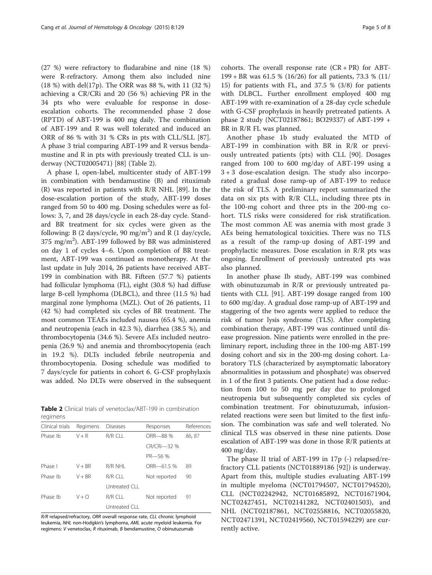(27 %) were refractory to fludarabine and nine (18 %) were R-refractory. Among them also included nine (18 %) with del(17p). The ORR was 88 %, with 11 (32 %) achieving a CR/CRi and 20 (56 %) achieving PR in the 34 pts who were evaluable for response in doseescalation cohorts. The recommended phase 2 dose (RPTD) of ABT-199 is 400 mg daily. The combination of ABT-199 and R was well tolerated and induced an ORR of 86 % with 31 % CRs in pts with CLL/SLL [\[87](#page-7-0)]. A phase 3 trial comparing ABT-199 and R versus bendamustine and R in pts with previously treated CLL is underway (NCT02005471) [\[88](#page-7-0)] (Table 2).

A phase I, open-label, multicenter study of ABT-199 in combination with bendamustine (B) and rituximab (R) was reported in patients with R/R NHL [\[89](#page-7-0)]. In the dose-escalation portion of the study, ABT-199 doses ranged from 50 to 400 mg. Dosing schedules were as follows: 3, 7, and 28 days/cycle in each 28-day cycle. Standard BR treatment for six cycles were given as the following: B (2 days/cycle, 90 mg/m<sup>2</sup>) and R (1 day/cycle, 375 mg/m<sup>2</sup> ). ABT-199 followed by BR was administered on day 1 of cycles 4–6. Upon completion of BR treatment, ABT-199 was continued as monotherapy. At the last update in July 2014, 26 patients have received ABT-199 in combination with BR. Fifteen (57.7 %) patients had follicular lymphoma (FL), eight (30.8 %) had diffuse large B-cell lymphoma (DLBCL), and three (11.5 %) had marginal zone lymphoma (MZL). Out of 26 patients, 11 (42 %) had completed six cycles of BR treatment. The most common TEAEs included nausea (65.4 %), anemia and neutropenia (each in 42.3 %), diarrhea (38.5 %), and thrombocytopenia (34.6 %). Severe AEs included neutropenia (26.9 %) and anemia and thrombocytopenia (each in 19.2 %). DLTs included febrile neutropenia and thrombocytopenia. Dosing schedule was modified to 7 days/cycle for patients in cohort 6. G-CSF prophylaxis was added. No DLTs were observed in the subsequent

Table 2 Clinical trials of venetoclax/ABT-199 in combination regimens

| Clinical trials | Regimens | <b>Diseases</b> | Responses    | References |
|-----------------|----------|-----------------|--------------|------------|
| Phase Ib        | $V + R$  | $R/R$ CLL       | ORR-88 %     | 86, 87     |
|                 |          |                 | CR/CRi-32 %  |            |
|                 |          |                 | PR-56 %      |            |
| Phase I         | $V + BR$ | R/R NHI         | ORR-61.5 %   | 89         |
| Phase Ib        | $V + BR$ | $R/R$ CLL       | Not reported | 90         |
|                 |          | Untreated CLL   |              |            |
| Phase Ib        | $V + Q$  | $R/R$ $Cl$ $I$  | Not reported | 91         |
|                 |          | Untreated CLL   |              |            |

R/R relapsed/refractory, ORR overall response rate, CLL chronic lymphoid leukemia, NHL non-Hodgkin's lymphoma, AML acute myeloid leukemia. For regimens: V venetoclax, R rituximab, B bendamustine, O obinutuzumab

cohorts. The overall response rate  $(CR + PR)$  for ABT-199 + BR was 61.5 % (16/26) for all patients, 73.3 % (11/ 15) for patients with FL, and 37.5 % (3/8) for patients with DLBCL. Further enrollment employed 400 mg ABT-199 with re-examination of a 28-day cycle schedule with G-CSF prophylaxis in heavily pretreated patients. A phase 2 study (NCT02187861; BO29337) of ABT-199 + BR in R/R FL was planned.

Another phase 1b study evaluated the MTD of ABT-199 in combination with BR in R/R or previously untreated patients (pts) with CLL [[90\]](#page-7-0). Dosages ranged from 100 to 600 mg/day of ABT-199 using a 3 + 3 dose-escalation design. The study also incorporated a gradual dose ramp-up of ABT-199 to reduce the risk of TLS. A preliminary report summarized the data on six pts with R/R CLL, including three pts in the 100-mg cohort and three pts in the 200-mg cohort. TLS risks were considered for risk stratification. The most common AE was anemia with most grade 3 AEs being hematological toxicities. There was no TLS as a result of the ramp-up dosing of ABT-199 and prophylactic measures. Dose escalation in R/R pts was ongoing. Enrollment of previously untreated pts was also planned.

In another phase Ib study, ABT-199 was combined with obinutuzumab in R/R or previously untreated patients with CLL [\[91](#page-7-0)]. ABT-199 dosage ranged from 100 to 600 mg/day. A gradual dose ramp-up of ABT-199 and staggering of the two agents were applied to reduce the risk of tumor lysis syndrome (TLS). After completing combination therapy, ABT-199 was continued until disease progression. Nine patients were enrolled in the preliminary report, including three in the 100-mg ABT-199 dosing cohort and six in the 200-mg dosing cohort. Laboratory TLS (characterized by asymptomatic laboratory abnormalities in potassium and phosphate) was observed in 1 of the first 3 patients. One patient had a dose reduction from 100 to 50 mg per day due to prolonged neutropenia but subsequently completed six cycles of combination treatment. For obinutuzumab, infusionrelated reactions were seen but limited to the first infusion. The combination was safe and well tolerated. No clinical TLS was observed in these nine patients. Dose escalation of ABT-199 was done in those R/R patients at 400 mg/day.

The phase II trial of ABT-199 in 17p (-) relapsed/refractory CLL patients (NCT01889186 [\[92](#page-7-0)]) is underway. Apart from this, multiple studies evaluating ABT-199 in multiple myeloma (NCT01794507, NCT01794520), CLL (NCT02242942, NCT01685892, NCT01671904, NCT02427451, NCT02141282, NCT02401503), and NHL (NCT02187861, NCT02558816, NCT02055820, NCT02471391, NCT02419560, NCT01594229) are currently active.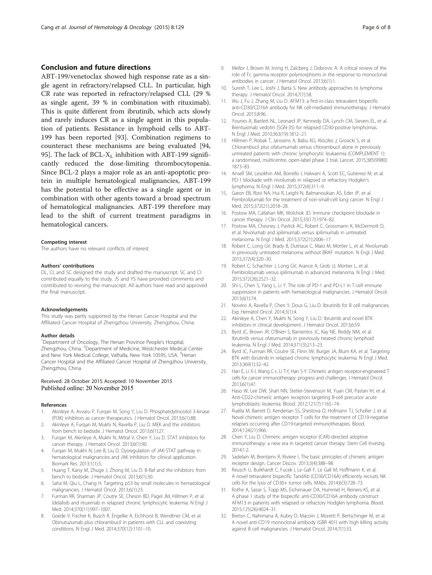#### <span id="page-5-0"></span>Conclusion and future directions

ABT-199/venetoclax showed high response rate as a single agent in refractory/relapsed CLL. In particular, high CR rate was reported in refractory/relapsed CLL (29 % as single agent, 39 % in combination with rituximab). This is quite different from ibrutinib, which acts slowly and rarely induces CR as a single agent in this population of patients. Resistance in lymphoid cells to ABT-199 has been reported [[93\]](#page-7-0). Combination regimens to counteract these mechanisms are being evaluated [[94](#page-7-0), [95\]](#page-7-0). The lack of BCL- $X_L$  inhibition with ABT-199 significantly reduced the dose-limiting thrombocytopenia. Since BCL-2 plays a major role as an anti-apoptotic protein in multiple hematological malignancies, ABT-199 has the potential to be effective as a single agent or in combination with other agents toward a broad spectrum of hematological malignancies. ABT-199 therefore may lead to the shift of current treatment paradigms in hematological cancers.

#### Competing interest

The authors have no relevant conflicts of interest.

#### Authors' contributions

DL, CI, and SC designed the study and drafted the manuscript. SC and CI contributed equally to the study. JS and YS have provided comments and contributed to revising the manuscript. All authors have read and approved the final manuscript.

#### Acknowledgements

This study was partly supported by the Henan Cancer Hospital and the Affiliated Cancer Hospital of Zhengzhou University, Zhengzhou, China.

#### Author details

<sup>1</sup>Department of Oncology, The Henan Province People's Hospital, Zhengzhou, China. <sup>2</sup>Department of Medicine, Westchester Medical Center and New York Medical College, Valhalla, New York 10595, USA. <sup>3</sup>Henan Cancer Hospital and the Affiliated Cancer Hospital of Zhengzhou University, Zhengzhou, China.

#### Received: 28 October 2015 Accepted: 10 November 2015 Published online: 20 November 2015

#### References

- Akinleye A, Avvaru P, Furqan M, Song Y, Liu D. Phosphatidylinositol 3-kinase (PI3K) inhibitors as cancer therapeutics. J Hematol Oncol. 2013;6(1):88.
- 2. Akinleye A, Furqan M, Mukhi N, Ravella P, Liu D. MEK and the inhibitors: from bench to bedside. J Hematol Oncol. 2013;6(1):27.
- 3. Furqan M, Akinleye A, Mukhi N, Mittal V, Chen Y, Liu D. STAT inhibitors for cancer therapy. J Hematol Oncol. 2013;6(1):90.
- 4. Furqan M, Mukhi N, Lee B, Liu D. Dysregulation of JAK-STAT pathway in hematological malignancies and JAK inhibitors for clinical application. Biomark Res. 2013;1(1):5.
- 5. Huang T, Karsy M, Zhuge J, Zhong M, Liu D. B-Raf and the inhibitors: from bench to bedside. J Hematol Oncol. 2013;6(1):30.
- 6. Saha M, Qiu L, Chang H. Targeting p53 by small molecules in hematological malignancies. J Hematol Oncol. 2013;6(1):23.
- 7. Furman RR, Sharman JP, Coutre SE, Cheson BD, Pagel JM, Hillmen P, et al. Idelalisib and rituximab in relapsed chronic lymphocytic leukemia. N Engl J Med. 2014;370(11):997–1007.
- Goede V, Fischer K, Busch R, Engelke A, Eichhorst B, Wendtner CM, et al. Obinutuzumab plus chlorambucil in patients with CLL and coexisting conditions. N Engl J Med. 2014;370(12):1101–10.
- 9. Mellor J, Brown M, Irving H, Zalcberg J, Dobrovic A. A critical review of the role of Fc gamma receptor polymorphisms in the response to monoclonal antibodies in cancer. J Hematol Oncol. 2013;6(1):1.
- 10. Suresh T, Lee L, Joshi J, Barta S. New antibody approaches to lymphoma therapy. J Hematol Oncol. 2014;7(1):58.
- 11. Wu J, Fu J, Zhang M, Liu D. AFM13: a first-in-class tetravalent bispecific anti-CD30/CD16A antibody for NK cell-mediated immunotherapy. J Hematol Oncol. 2015;8:96.
- 12. Younes A, Bartlett NL, Leonard JP, Kennedy DA, Lynch CM, Sievers EL, et al. Brentuximab vedotin (SGN-35) for relapsed CD30-positive lymphomas. N Engl J Med. 2010;363(19):1812–21.
- 13. Hillmen P, Robak T, Janssens A, Babu KG, Kloczko J, Grosicki S, et al. Chlorambucil plus ofatumumab versus chlorambucil alone in previously untreated patients with chronic lymphocytic leukaemia (COMPLEMENT 1): a randomised, multicentre, open-label phase 3 trial. Lancet. 2015;385(9980): 1873–83.
- 14. Ansell SM, Lesokhin AM, Borrello I, Halwani A, Scott EC, Gutierrez M, et al. PD-1 blockade with nivolumab in relapsed or refractory Hodgkin's lymphoma. N Engl J Med. 2015;372(4):311–9.
- 15. Garon EB, Rizvi NA, Hui R, Leighl N, Balmanoukian AS, Eder JP, et al. Pembrolizumab for the treatment of non-small-cell lung cancer. N Engl J Med. 2015;372(21):2018–28.
- 16. Postow MA, Callahan MK, Wolchok JD. Immune checkpoint blockade in cancer therapy. J Clin Oncol. 2015;33(17):1974–82.
- 17. Postow MA, Chesney J, Pavlick AC, Robert C, Grossmann K, McDermott D, et al. Nivolumab and ipilimumab versus ipilimumab in untreated melanoma. N Engl J Med. 2015;372(21):2006–17.
- 18. Robert C, Long GV, Brady B, Dutriaux C, Maio M, Mortier L, et al. Nivolumab in previously untreated melanoma without BRAF mutation. N Engl J Med. 2015;372(4):320–30.
- 19. Robert C, Schachter J, Long GV, Arance A, Grob JJ, Mortier L, et al. Pembrolizumab versus ipilimumab in advanced melanoma. N Engl J Med. 2015;372(26):2521–32.
- 20. Shi L, Chen S, Yang L, Li Y. The role of PD-1 and PD-L1 in T-cell immune suppression in patients with hematological malignancies. J Hematol Oncol. 2013;6(1):74.
- 21. Novero A, Ravella P, Chen Y, Dous G, Liu D. Ibrutinib for B cell malignancies. Exp Hematol Oncol. 2014;3(1):4.
- 22. Akinleye A, Chen Y, Mukhi N, Song Y, Liu D. Ibrutinib and novel BTK inhibitors in clinical development. J Hematol Oncol. 2013;6:59.
- 23. Byrd JC, Brown JR, O'Brien S, Barrientos JC, Kay NE, Reddy NM, et al. Ibrutinib versus ofatumumab in previously treated chronic lymphoid leukemia. N Engl J Med. 2014;371(3):213–23.
- 24. Byrd JC, Furman RR, Coutre SE, Flinn IW, Burger JA, Blum KA, et al. Targeting BTK with ibrutinib in relapsed chronic lymphocytic leukemia. N Engl J Med. 2013;369(1):32–42.
- 25. Han E, Li X-l, Wang C-r, Li T-f, Han S-Y. Chimeric antigen receptor-engineered T cells for cancer immunotherapy: progress and challenges. J Hematol Oncol. 2013;6(1):47.
- 26. Haso W, Lee DW, Shah NN, Stetler-Stevenson M, Yuan CM, Pastan IH, et al. Anti-CD22-chimeric antigen receptors targeting B-cell precursor acute lymphoblastic leukemia. Blood. 2012;121(7):1165–74.
- 27. Ruella M, Barrett D, Kenderian SS, Shestova O, Hofmann TJ, Scholler J, et al. Novel chimeric antigen receptor T cells for the treatment of CD19-negative relapses occurring after CD19-targeted immunotherapies. Blood. 2014;124(21):966.
- 28. Chen Y, Liu D. Chimeric antigen receptor (CAR)-directed adoptive immunotherapy: a new era in targeted cancer therapy. Stem Cell Investig. 2014;1:2.
- 29. Sadelain M, Brentjens R, Riviere I. The basic principles of chimeric antigen receptor design. Cancer Discov. 2013;3(4):388–98.
- 30. Reusch U, Burkhardt C, Fucek I, Le Gall F, Le Gall M, Hoffmann K, et al. A novel tetravalent bispecific TandAb (CD30/CD16A) efficiently recruits NK cells for the lysis of CD30+ tumor cells. MAbs. 2014;6(3):728–73.
- 31. Rothe A, Sasse S, Topp MS, Eichenauer DA, Hummel H, Reiners KS, et al. A phase 1 study of the bispecific anti-CD30/CD16A antibody construct AFM13 in patients with relapsed or refractory Hodgkin lymphoma. Blood. 2015;125(26):4024–31.
- 32. Breton C, Nahimana A, Aubry D, Macoin J, Moretti P, Bertschinger M, et al. A novel anti-CD19 monoclonal antibody (GBR 401) with high killing activity against B cell malignancies. J Hematol Oncol. 2014;7(1):33.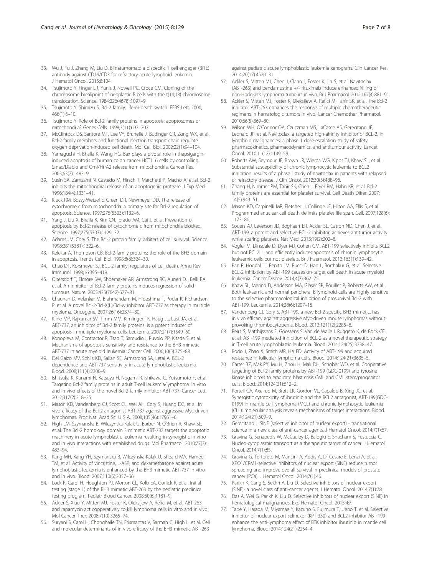- <span id="page-6-0"></span>33. Wu J, Fu J, Zhang M, Liu D. Blinatumomab: a bispecific T cell engager (BiTE) antibody against CD19/CD3 for refractory acute lymphoid leukemia. J Hematol Oncol. 2015;8:104.
- 34. Tsujimoto Y, Finger LR, Yunis J, Nowell PC, Croce CM. Cloning of the chromosome breakpoint of neoplastic B cells with the t(14;18) chromosome translocation. Science. 1984;226(4678):1097–9.
- 35. Tsujimoto Y, Shimizu S. Bcl-2 family: life-or-death switch. FEBS Lett. 2000; 466(1):6–10.
- 36. Tsujimoto Y. Role of Bcl-2 family proteins in apoptosis: apoptosomes or mitochondria? Genes Cells. 1998;3(11):697–707.
- 37. McClintock DS, Santore MT, Lee VY, Brunelle J, Budinger GR, Zong WX, et al. Bcl-2 family members and functional electron transport chain regulate oxygen deprivation-induced cell death. Mol Cell Biol. 2002;22(1):94–104.
- 38. Yamaguchi H, Bhalla K, Wang HG. Bax plays a pivotal role in thapsigargininduced apoptosis of human colon cancer HCT116 cells by controlling Smac/Diablo and Omi/HtrA2 release from mitochondria. Cancer Res. 2003;63(7):1483–9.
- 39. Susin SA, Zamzami N, Castedo M, Hirsch T, Marchetti P, Macho A, et al. Bcl-2 inhibits the mitochondrial release of an apoptogenic protease. J Exp Med. 1996;184(4):1331–41.
- 40. Kluck RM, Bossy-Wetzel E, Green DR, Newmeyer DD. The release of cytochrome c from mitochondria: a primary site for Bcl-2 regulation of apoptosis. Science. 1997;275(5303):1132–6.
- 41. Yang J, Liu X, Bhalla K, Kim CN, Ibrado AM, Cai J, et al. Prevention of apoptosis by Bcl-2: release of cytochrome c from mitochondria blocked. Science. 1997;275(5303):1129–32.
- 42. Adams JM, Cory S. The Bcl-2 protein family: arbiters of cell survival. Science. 1998;281(5381):1322–6.
- 43. Kelekar A, Thompson CB. Bcl-2-family proteins: the role of the BH3 domain in apoptosis. Trends Cell Biol. 1998;8(8):324–30.
- 44. Chao DT, Korsmeyer SJ. BCL-2 family: regulators of cell death. Annu Rev Immunol. 1998;16:395–419.
- 45. Oltersdorf T, Elmore SW, Shoemaker AR, Armstrong RC, Augeri DJ, Belli BA, et al. An inhibitor of Bcl-2 family proteins induces regression of solid tumours. Nature. 2005;435(7042):677–81.
- 46. Chauhan D, Velankar M, Brahmandam M, Hideshima T, Podar K, Richardson P, et al. A novel Bcl-2/Bcl-X(L)/Bcl-w inhibitor ABT-737 as therapy in multiple myeloma. Oncogene. 2007;26(16):2374–80.
- 47. Kline MP, Rajkumar SV, Timm MM, Kimlinger TK, Haug JL, Lust JA, et al. ABT-737, an inhibitor of Bcl-2 family proteins, is a potent inducer of apoptosis in multiple myeloma cells. Leukemia. 2007;21(7):1549–60.
- 48. Konopleva M, Contractor R, Tsao T, Samudio I, Ruvolo PP, Kitada S, et al. Mechanisms of apoptosis sensitivity and resistance to the BH3 mimetic ABT-737 in acute myeloid leukemia. Cancer Cell. 2006;10(5):375–88.
- 49. Del Gaizo MV, Schlis KD, Sallan SE, Armstrong SA, Letai A. BCL-2 dependence and ABT-737 sensitivity in acute lymphoblastic leukemia. Blood. 2008;111(4):2300–9.
- 50. Ishitsuka K, Kunami N, Katsuya H, Nogami R, Ishikawa C, Yotsumoto F, et al. Targeting Bcl-2 family proteins in adult T-cell leukemia/lymphoma: in vitro and in vivo effects of the novel Bcl-2 family inhibitor ABT-737. Cancer Lett. 2012;317(2):218–25.
- 51. Mason KD, Vandenberg CJ, Scott CL, Wei AH, Cory S, Huang DC, et al. In vivo efficacy of the Bcl-2 antagonist ABT-737 against aggressive Myc-driven lymphomas. Proc Natl Acad Sci U S A. 2008;105(46):17961–6.
- 52. High LM, Szymanska B, Wilczynska-Kalak U, Barber N, O'Brien R, Khaw SL, et al. The Bcl-2 homology domain 3 mimetic ABT-737 targets the apoptotic machinery in acute lymphoblastic leukemia resulting in synergistic in vitro and in vivo interactions with established drugs. Mol Pharmacol. 2010;77(3): 483–94.
- 53. Kang MH, Kang YH, Szymanska B, Wilczynska-Kalak U, Sheard MA, Harned TM, et al. Activity of vincristine, L-ASP, and dexamethasone against acute lymphoblastic leukemia is enhanced by the BH3-mimetic ABT-737 in vitro and in vivo. Blood. 2007;110(6):2057–66.
- 54. Lock R, Carol H, Houghton PJ, Morton CL, Kolb EA, Gorlick R, et al. Initial testing (stage 1) of the BH3 mimetic ABT-263 by the pediatric preclinical testing program. Pediatr Blood Cancer. 2008;50(6):1181–9.
- 55. Ackler S, Xiao Y, Mitten MJ, Foster K, Oleksijew A, Refici M, et al. ABT-263 and rapamycin act cooperatively to kill lymphoma cells in vitro and in vivo. Mol Cancer Ther. 2008;7(10):3265–74.
- 56. Suryani S, Carol H, Chonghaile TN, Frismantas V, Sarmah C, High L, et al. Cell and molecular determinants of in vivo efficacy of the BH3 mimetic ABT-263

against pediatric acute lymphoblastic leukemia xenografts. Clin Cancer Res. 2014;20(17):4520–31.

- 57. Ackler S, Mitten MJ, Chen J, Clarin J, Foster K, Jin S, et al. Navitoclax (ABT-263) and bendamustine +/- rituximab induce enhanced killing of non-Hodgkin's lymphoma tumours in vivo. Br J Pharmacol. 2012;167(4):881–91.
- 58. Ackler S, Mitten MJ, Foster K, Oleksijew A, Refici M, Tahir SK, et al. The Bcl-2 inhibitor ABT-263 enhances the response of multiple chemotherapeutic regimens in hematologic tumors in vivo. Cancer Chemother Pharmacol. 2010;66(5):869–80.
- 59. Wilson WH, O'Connor OA, Czuczman MS, LaCasce AS, Gerecitano JF, Leonard JP, et al. Navitoclax, a targeted high-affinity inhibitor of BCL-2, in lymphoid malignancies: a phase 1 dose-escalation study of safety, pharmacokinetics, pharmacodynamics, and antitumour activity. Lancet Oncol. 2010;11(12):1149–59.
- 60. Roberts AW, Seymour JF, Brown JR, Wierda WG, Kipps TJ, Khaw SL, et al. Substantial susceptibility of chronic lymphocytic leukemia to BCL2 inhibition: results of a phase I study of navitoclax in patients with relapsed or refractory disease. J Clin Oncol. 2012;30(5):488–96.
- 61. Zhang H, Nimmer PM, Tahir SK, Chen J, Fryer RM, Hahn KR, et al. Bcl-2 family proteins are essential for platelet survival. Cell Death Differ. 2007; 14(5):943–51.
- Mason KD, Carpinelli MR, Fletcher JI, Collinge JE, Hilton AA, Ellis S, et al. Programmed anuclear cell death delimits platelet life span. Cell. 2007;128(6): 1173–86.
- 63. Souers AJ, Leverson JD, Boghaert ER, Ackler SL, Catron ND, Chen J, et al. ABT-199, a potent and selective BCL-2 inhibitor, achieves antitumor activity while sparing platelets. Nat Med. 2013;19(2):202–8.
- 64. Vogler M, Dinsdale D, Dyer MJ, Cohen GM. ABT-199 selectively inhibits BCL2 but not BCL2L1 and efficiently induces apoptosis of chronic lymphocytic leukaemic cells but not platelets. Br J Haematol. 2013;163(1):139–42.
- 65. Pan R, Hogdal LJ, Benito JM, Bucci D, Han L, Borthakur G, et al. Selective BCL-2 inhibition by ABT-199 causes on-target cell death in acute myeloid leukemia. Cancer Discov. 2014;4(3):362–75.
- 66. Khaw SL, Merino D, Anderson MA, Glaser SP, Bouillet P, Roberts AW, et al. Both leukaemic and normal peripheral B lymphoid cells are highly sensitive to the selective pharmacological inhibition of prosurvival Bcl-2 with ABT-199. Leukemia. 2014;28(6):1207–15.
- 67. Vandenberg CJ, Cory S. ABT-199, a new Bcl-2-specific BH3 mimetic, has in vivo efficacy against aggressive Myc-driven mouse lymphomas without provoking thrombocytopenia. Blood. 2013;121(12):2285–8.
- 68. Peirs S, Matthijssens F, Goossens S, Van de Walle I, Ruggero K, de Bock CE, et al. ABT-199 mediated inhibition of BCL-2 as a novel therapeutic strategy in T-cell acute lymphoblastic leukemia. Blood. 2014;124(25):3738–47.
- 69. Bodo J, Zhao X, Smith MR, Hsi ED. Activity of ABT-199 and acquired resistance in follicular lymphoma cells. Blood. 2014;124(21):3635–5.
- 70. Carter BZ, Mak PY, Mu H, Zhou H, Mak DH, Schober WD, et al. Cooperative targeting of Bcl-2 family proteins by ABT-199 (GDC-0199) and tyrosine kinase inhibitors to eradicate blast crisis CML and CML stem/progenitor cells. Blood. 2014;124(21):512–2.
- 71. Portell CA, Axelrod M, Brett LK, Gordon VL, Capaldo B, Xing JC, et al. Synergistic cytotoxicity of ibrutinib and the BCL2 antagonist, ABT-199(GDC-0199) in mantle cell lymphoma (MCL) and chronic lymphocytic leukemia (CLL): molecular analysis reveals mechanisms of target interactions. Blood. 2014;124(21):509–9.
- 72. Gerecitano J. SINE (selective inhibitor of nuclear export) translational science in a new class of anti-cancer agents. J Hematol Oncol. 2014;7(1):67.
- 73. Gravina G, Senapedis W, McCauley D, Baloglu E, Shacham S, Festuccia C. Nucleo-cytoplasmic transport as a therapeutic target of cancer. J Hematol Oncol. 2014;7(1):85.
- 74. Gravina G, Tortoreto M, Mancini A, Addis A, Di Cesare E, Lenzi A, et al. XPO1/CRM1-selective inhibitors of nuclear export (SINE) reduce tumor spreading and improve overall survival in preclinical models of prostate cancer (PCa). J Hematol Oncol. 2014;7(1):46.
- 75. Parikh K, Cang S, Sekhri A, Liu D. Selective inhibitors of nuclear export (SINE)- a novel class of anti-cancer agents. J Hematol Oncol. 2014;7(1):78.
- 76. Das A, Wei G, Parikh K, Liu D. Selective inhibitors of nuclear export (SINE) in hematological malignancies. Exp Hematol Oncol. 2015;4:7.
- 77. Tabe Y, Harada M, Miyamae Y, Kazuno S, Fujimura T, Ueno T, et al. Selective inhibitor of nuclear export selinexor (KPT-330) and BCL2 inhibitor ABT-199 enhance the anti-lymphoma effect of BTK inhibitor ibrutinib in mantle cell lymphoma. Blood. 2014;124(21):2254–4.